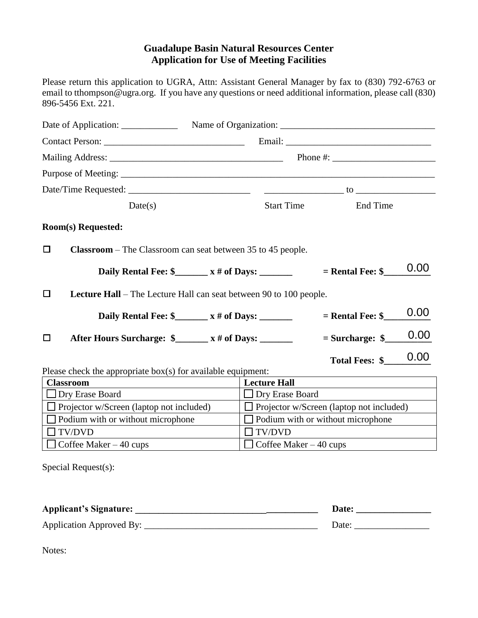## **Guadalupe Basin Natural Resources Center Application for Use of Meeting Facilities**

Please return this application to UGRA, Attn: Assistant General Manager by fax to (830) 792-6763 or email to tthompson@ugra.org. If you have any questions or need additional information, please call (830) 896-5456 Ext. 221.

|                                                                                     |                                          | Phone $\#$ :                                                                                                                                                                                                                                                                                |
|-------------------------------------------------------------------------------------|------------------------------------------|---------------------------------------------------------------------------------------------------------------------------------------------------------------------------------------------------------------------------------------------------------------------------------------------|
|                                                                                     |                                          |                                                                                                                                                                                                                                                                                             |
|                                                                                     |                                          | $\frac{1}{2}$ to $\frac{1}{2}$ to $\frac{1}{2}$ to $\frac{1}{2}$ to $\frac{1}{2}$ and $\frac{1}{2}$ and $\frac{1}{2}$ and $\frac{1}{2}$ and $\frac{1}{2}$ and $\frac{1}{2}$ and $\frac{1}{2}$ and $\frac{1}{2}$ and $\frac{1}{2}$ and $\frac{1}{2}$ and $\frac{1}{2}$ and $\frac{1}{2}$ and |
| Date(s)                                                                             | <b>Start Time</b>                        | <b>End Time</b>                                                                                                                                                                                                                                                                             |
| Room(s) Requested:                                                                  |                                          |                                                                                                                                                                                                                                                                                             |
| <b>Classroom</b> – The Classroom can seat between 35 to 45 people.<br>$\Box$        |                                          |                                                                                                                                                                                                                                                                                             |
| Daily Rental Fee: $\frac{1}{2}$ x # of Days: _______                                |                                          | 0.00<br>$=$ Rental Fee: $\frac{1}{2}$                                                                                                                                                                                                                                                       |
| $\Box$<br><b>Lecture Hall</b> – The Lecture Hall can seat between 90 to 100 people. |                                          |                                                                                                                                                                                                                                                                                             |
| Daily Rental Fee: $\frac{1}{2}$ x # of Days: _______                                |                                          | 0.00<br>$=$ Rental Fee: $\frac{1}{2}$                                                                                                                                                                                                                                                       |
| □                                                                                   |                                          | 0.00<br>$=$ Surcharge: $\frac{1}{2}$                                                                                                                                                                                                                                                        |
|                                                                                     |                                          | 0.00<br><b>Total Fees: \$</b>                                                                                                                                                                                                                                                               |
| Please check the appropriate $box(s)$ for available equipment:<br><b>Classroom</b>  | <b>Lecture Hall</b>                      |                                                                                                                                                                                                                                                                                             |
| $\Box$ Dry Erase Board                                                              | <b>Dry Erase Board</b>                   |                                                                                                                                                                                                                                                                                             |
| $\Box$ Projector w/Screen (laptop not included)                                     |                                          | $\Box$ Projector w/Screen (laptop not included)                                                                                                                                                                                                                                             |
| $\Box$ Podium with or without microphone                                            | $\Box$ Podium with or without microphone |                                                                                                                                                                                                                                                                                             |
| <b>TV/DVD</b>                                                                       | <b>TV/DVD</b>                            |                                                                                                                                                                                                                                                                                             |
| Coffee Maker $-40$ cups                                                             | $\Box$ Coffee Maker – 40 cups            |                                                                                                                                                                                                                                                                                             |
| Special Request(s):                                                                 |                                          |                                                                                                                                                                                                                                                                                             |

| <b>Applicant's Signature:</b> | <b>Date:</b> |
|-------------------------------|--------------|
| Application Approved By:      | Date:        |

Notes: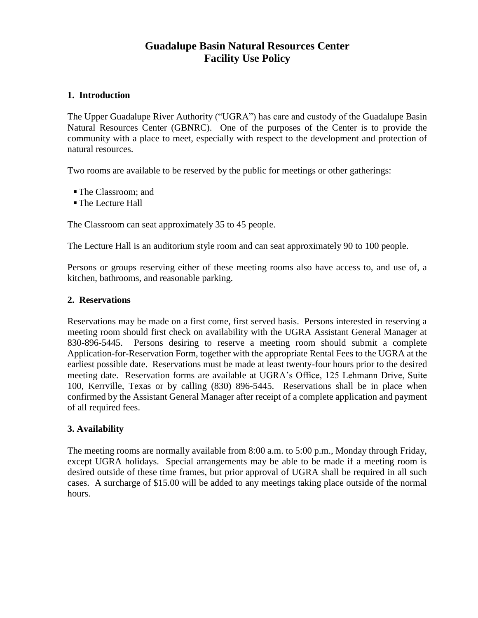# **Guadalupe Basin Natural Resources Center Facility Use Policy**

## **1. Introduction**

The Upper Guadalupe River Authority ("UGRA") has care and custody of the Guadalupe Basin Natural Resources Center (GBNRC). One of the purposes of the Center is to provide the community with a place to meet, especially with respect to the development and protection of natural resources.

Two rooms are available to be reserved by the public for meetings or other gatherings:

- The Classroom; and
- The Lecture Hall

The Classroom can seat approximately 35 to 45 people.

The Lecture Hall is an auditorium style room and can seat approximately 90 to 100 people.

Persons or groups reserving either of these meeting rooms also have access to, and use of, a kitchen, bathrooms, and reasonable parking.

### **2. Reservations**

Reservations may be made on a first come, first served basis. Persons interested in reserving a meeting room should first check on availability with the UGRA Assistant General Manager at 830-896-5445. Persons desiring to reserve a meeting room should submit a complete Application-for-Reservation Form, together with the appropriate Rental Fees to the UGRA at the earliest possible date. Reservations must be made at least twenty-four hours prior to the desired meeting date. Reservation forms are available at UGRA's Office, 125 Lehmann Drive, Suite 100, Kerrville, Texas or by calling (830) 896-5445. Reservations shall be in place when confirmed by the Assistant General Manager after receipt of a complete application and payment of all required fees.

## **3. Availability**

The meeting rooms are normally available from 8:00 a.m. to 5:00 p.m., Monday through Friday, except UGRA holidays. Special arrangements may be able to be made if a meeting room is desired outside of these time frames, but prior approval of UGRA shall be required in all such cases. A surcharge of \$15.00 will be added to any meetings taking place outside of the normal hours.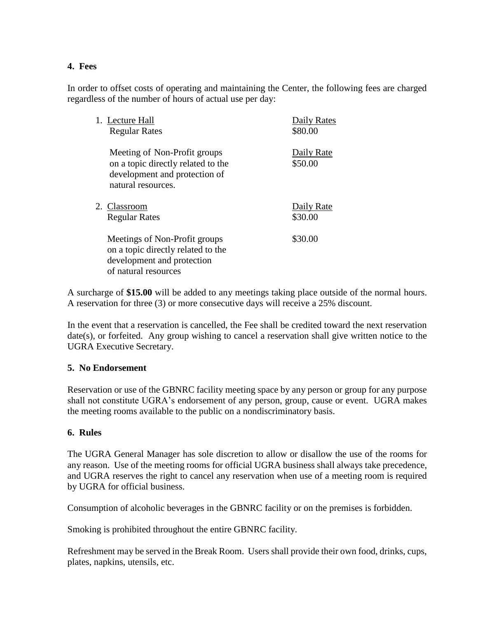## **4. Fees**

In order to offset costs of operating and maintaining the Center, the following fees are charged regardless of the number of hours of actual use per day:

| 1. Lecture Hall<br><b>Regular Rates</b>                                                                                   | Daily Rates<br>\$80.00 |
|---------------------------------------------------------------------------------------------------------------------------|------------------------|
| Meeting of Non-Profit groups<br>on a topic directly related to the<br>development and protection of<br>natural resources. | Daily Rate<br>\$50.00  |
| 2. Classroom<br><b>Regular Rates</b>                                                                                      | Daily Rate<br>\$30.00  |
| Meetings of Non-Profit groups<br>on a topic directly related to the<br>development and protection<br>of natural resources | \$30.00                |

A surcharge of **\$15.00** will be added to any meetings taking place outside of the normal hours. A reservation for three (3) or more consecutive days will receive a 25% discount.

In the event that a reservation is cancelled, the Fee shall be credited toward the next reservation date(s), or forfeited. Any group wishing to cancel a reservation shall give written notice to the UGRA Executive Secretary.

### **5. No Endorsement**

Reservation or use of the GBNRC facility meeting space by any person or group for any purpose shall not constitute UGRA's endorsement of any person, group, cause or event. UGRA makes the meeting rooms available to the public on a nondiscriminatory basis.

### **6. Rules**

The UGRA General Manager has sole discretion to allow or disallow the use of the rooms for any reason. Use of the meeting rooms for official UGRA business shall always take precedence, and UGRA reserves the right to cancel any reservation when use of a meeting room is required by UGRA for official business.

Consumption of alcoholic beverages in the GBNRC facility or on the premises is forbidden.

Smoking is prohibited throughout the entire GBNRC facility.

Refreshment may be served in the Break Room. Users shall provide their own food, drinks, cups, plates, napkins, utensils, etc.